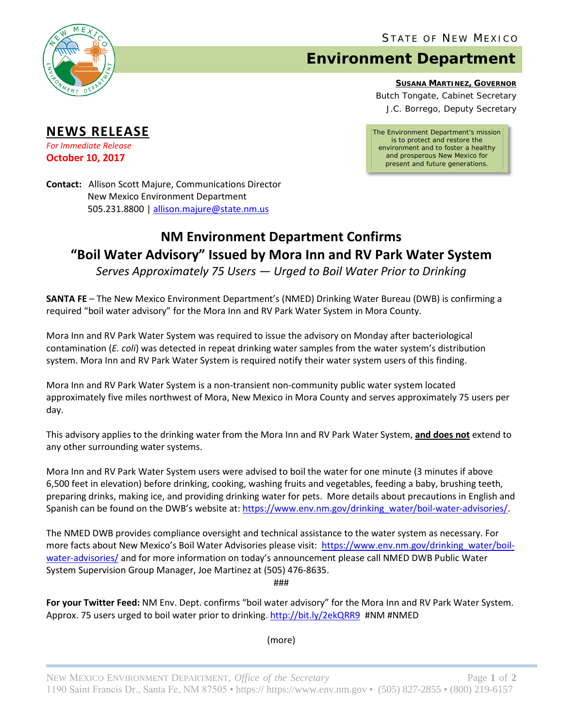

**NEWS RELEASE** *For Immediate Release* **October 10, 2017**

## **Environment Department**

**SUSANA MARTINEZ, GOVERNOR**

Butch Tongate, Cabinet Secretary J.C. Borrego, Deputy Secretary

*The Environment Department's mission is to protect and restore the environment and to foster a healthy and prosperous New Mexico for present and future generations.*

**Contact:** Allison Scott Majure, Communications Director New Mexico Environment Department 505.231.8800 [| allison.majure@state.nm.us](mailto:allison.majure@state.nm.us)

## **NM Environment Department Confirms "Boil Water Advisory" Issued by Mora Inn and RV Park Water System**

*Serves Approximately 75 Users — Urged to Boil Water Prior to Drinking*

**SANTA FE** – The New Mexico Environment Department's (NMED) Drinking Water Bureau (DWB) is confirming a required "boil water advisory" for the Mora Inn and RV Park Water System in Mora County.

Mora Inn and RV Park Water System was required to issue the advisory on Monday after bacteriological contamination (*E. coli*) was detected in repeat drinking water samples from the water system's distribution system. Mora Inn and RV Park Water System is required notify their water system users of this finding.

Mora Inn and RV Park Water System is a non-transient non-community public water system located approximately five miles northwest of Mora, New Mexico in Mora County and serves approximately 75 users per day.

This advisory applies to the drinking water from the Mora Inn and RV Park Water System, **and does not** extend to any other surrounding water systems.

Mora Inn and RV Park Water System users were advised to boil the water for one minute (3 minutes if above 6,500 feet in elevation) before drinking, cooking, washing fruits and vegetables, feeding a baby, brushing teeth, preparing drinks, making ice, and providing drinking water for pets. More details about precautions in English and Spanish can be found on the DWB's website at: [https://www.env.nm.gov/drinking\\_water/boil-water-advisories/.](https://www.env.nm.gov/drinking_water/boil-water-advisories/)

The NMED DWB provides compliance oversight and technical assistance to the water system as necessary. For more facts about New Mexico's Boil Water Advisories please visit: [https://www.env.nm.gov/drinking\\_water/boil](https://www.env.nm.gov/drinking_water/boil-water-advisories/)[water-advisories/](https://www.env.nm.gov/drinking_water/boil-water-advisories/) and for more information on today's announcement please call NMED DWB Public Water System Supervision Group Manager, Joe Martinez at (505) 476-8635.

###

**For your Twitter Feed:** NM Env. Dept. confirms "boil water advisory" for the Mora Inn and RV Park Water System. Approx. 75 users urged to boil water prior to drinking. <http://bit.ly/2ekQRR9>#NM #NMED

(more)